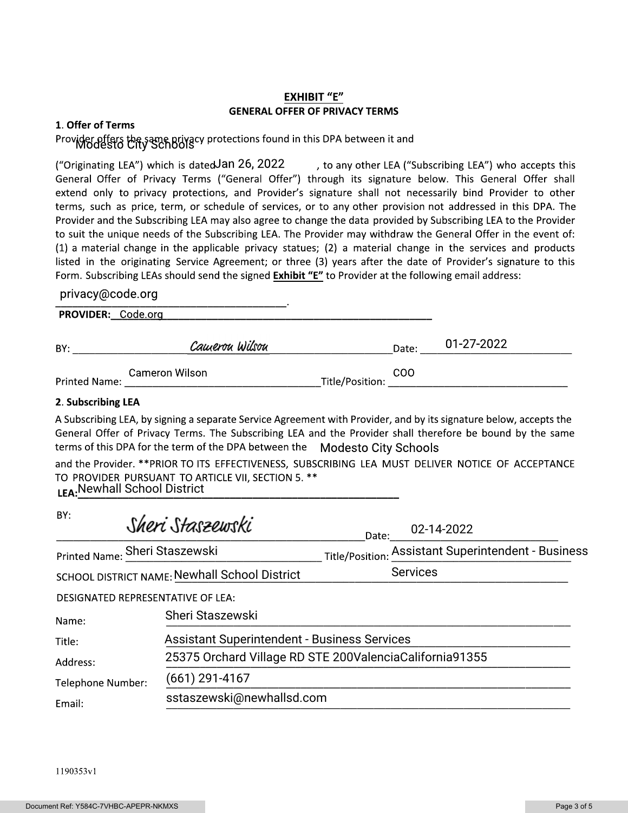# EXHIBIT "E"<br>GENERAL OFFER OF PRIVACY TERMS

#### 1. Offer of Terms

## Provider offers the same privacy protections found in this DPA between it and<br>WOGESTO City SChOOIS

**EXHIBIT "E"**<br> **EXHIBIT "E"**<br> **SERERAL OFFER OF PRIVACY TERMS**<br> **SERERAL OFFER OF PRIVACY TERMS**<br> **SERERAL OFFER OF PRIVACY TERMS**<br>
I which is dated an 26, 2022 and the sumplement is signature below. This Get<br>
privacy prot , to any other LEA ("Subscribing LEA") who accepts this General Offer of Privacy Terms ("General Offer") through its signature below. This General Offer shall extend only to privacy protections, and Provider's signature shall not necessarily bind Provider to other terms, such as price, term, or schedule of services, or to any other provision not addressed in this DPA. The Provider and the Subscribing LEA may also agree to change the data provided by Subscribing LEA to the Provider to suit the unique needs of the Subscribing LEA. The Provider may withdraw the General Offer in the event of:  $(1)$  a material change in the applicable privacy statues;  $(2)$  a material change in the services and products listed in the originating Service Agreement; or three (3) years after the date of Provider's signature to this Form. Subscribing LEAs should send the signed <mark>Exhibit "E"</mark> to Provider at the following email address: ("Originating LEA") which is dated Jan 26, 2022

#### privacy@code.org

| PROVIDER: Code.org |                |                               |            |
|--------------------|----------------|-------------------------------|------------|
| BY:                | Cauerou Wilsou | Date:                         | 01-27-2022 |
| Printed Name:      | Cameron Wilson | <b>COO</b><br>Title/Position: |            |

#### 2. Subscribing LEA

A Subscribing LEA, by signing a separate Service Agreement with Provider, and by its signature below, accepts the General Offer of Privacy Terms. The Subscribing LEA and the Provider shall therefore be bound by the same terms of this DPA for the term of the DPA between the \_MOdesto City Schools

and the Provider. \*\*PRIOR TO ITS EFFECTIVENESS, SUBSCRIBING LEA MUST DELIVER NOTICE OF ACCEPTANCE TO PROVIDER PURSUANT TO ARTICLE VII, SECTION 5. \*\* |}~~~~~~~~~~~~~~~~~~~~~~~~~~~~~~~~~~~~~~~~~~~~~~~~~~~~~~~~~ Newhall School District

| BY:                                           | Sheri Staszewski                                        | Date:           | 02-14-2022                                          |
|-----------------------------------------------|---------------------------------------------------------|-----------------|-----------------------------------------------------|
| Printed Name: Sheri Staszewski                |                                                         |                 | Title/Position: Assistant Superintendent - Business |
| SCHOOL DISTRICT NAME: Newhall School District |                                                         | <b>Services</b> |                                                     |
| DESIGNATED REPRESENTATIVE OF LEA:             |                                                         |                 |                                                     |
| Name:                                         | Sheri Staszewski                                        |                 |                                                     |
| Title:                                        | <b>Assistant Superintendent - Business Services</b>     |                 |                                                     |
| Address:                                      | 25375 Orchard Village RD STE 200ValenciaCalifornia91355 |                 |                                                     |
| Telephone Number:                             | (661) 291-4167                                          |                 |                                                     |
| Email:                                        | sstaszewski@newhallsd.com                               |                 |                                                     |

1190*3*53y1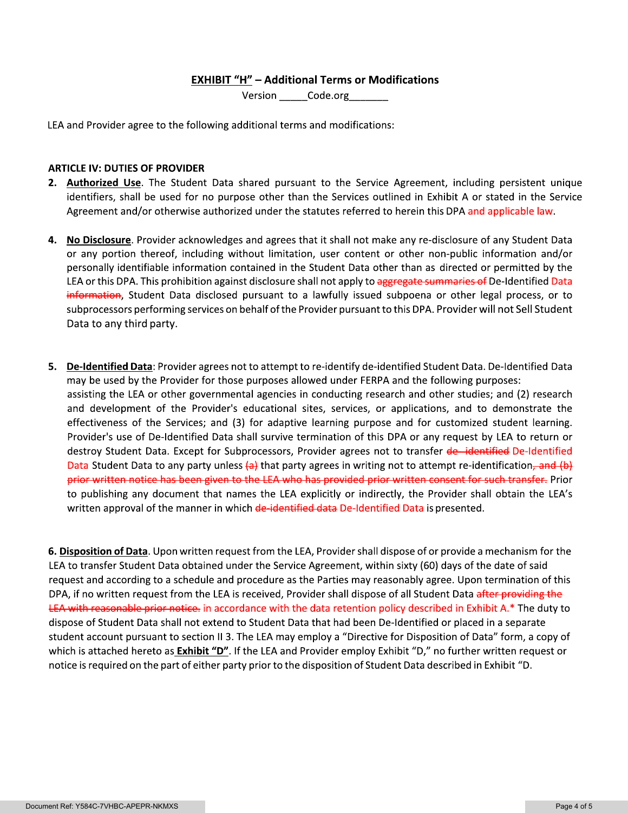### **EXHIBIT "H" - Additional Terms or Modifications**

Version Code.org

LEA and Provider agree to the following additional terms and modifications:

#### **ARTICLE IV: DUTIES OF PROVIDER**

- 2. Authorized Use. The Student Data shared pursuant to the Service Agreement, including persistent unique identifiers, shall be used for no purpose other than the Services outlined in Exhibit A or stated in the Service Agreement and/or otherwise authorized under the statutes referred to herein this DPA and applicable law.
- 4. No Disclosure. Provider acknowledges and agrees that it shall not make any re-disclosure of any Student Data or any portion thereof, including without limitation, user content or other non-public information and/or personally identifiable information contained in the Student Data other than as directed or permitted by the LEA or this DPA. This prohibition against disclosure shall not apply to aggregate summaries of De-Identified Data information, Student Data disclosed pursuant to a lawfully issued subpoena or other legal process, or to subprocessors performing services on behalf of the Provider pursuant to this DPA. Provider will not Sell Student Data to any third party.
- 5. De-Identified Data: Provider agrees not to attempt to re-identify de-identified Student Data. De-Identified Data may be used by the Provider for those purposes allowed under FERPA and the following purposes: assisting the LEA or other governmental agencies in conducting research and other studies; and (2) research and development of the Provider's educational sites, services, or applications, and to demonstrate the effectiveness of the Services; and (3) for adaptive learning purpose and for customized student learning. Provider's use of De-Identified Data shall survive termination of this DPA or any request by LEA to return or destroy Student Data. Except for Subprocessors, Provider agrees not to transfer de-identified De-Identified Data Student Data to any party unless  $\left\{\alpha\right\}$  that party agrees in writing not to attempt re-identification, and  $\left(\beta\right)$ prior written notice has been given to the LEA who has provided prior written consent for such transfer. Prior to publishing any document that names the LEA explicitly or indirectly, the Provider shall obtain the LEA's written approval of the manner in which de-identified data De-Identified Data is presented.

6. Disposition of Data. Upon written request from the LEA, Provider shall dispose of or provide a mechanism for the LEA to transfer Student Data obtained under the Service Agreement, within sixty (60) days of the date of said request and according to a schedule and procedure as the Parties may reasonably agree. Upon termination of this DPA, if no written request from the LEA is received, Provider shall dispose of all Student Data after providing the LEA with reasonable prior notice, in accordance with the data retention policy described in Exhibit A.\* The duty to dispose of Student Data shall not extend to Student Data that had been De-Identified or placed in a separate student account pursuant to section II 3. The LEA may employ a "Directive for Disposition of Data" form, a copy of which is attached hereto as **Exhibit "D"**. If the LEA and Provider employ Exhibit "D," no further written request or notice is required on the part of either party prior to the disposition of Student Data described in Exhibit "D.